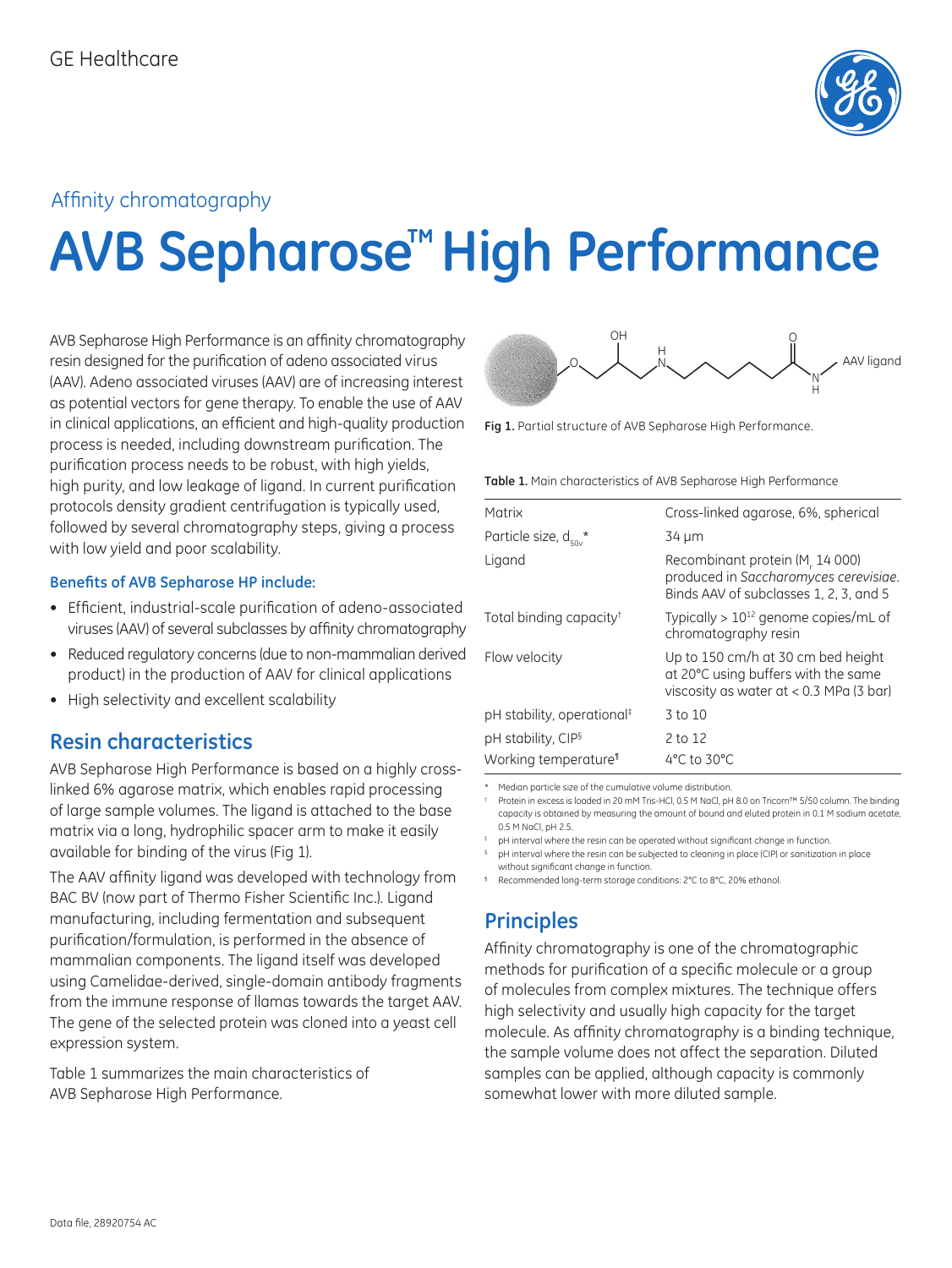

# Affinity chromatography

# **AVB Sepharose™ High Performance**

AVB Sepharose High Performance is an affinity chromatography resin designed for the purification of adeno associated virus (AAV). Adeno associated viruses (AAV) are of increasing interest as potential vectors for gene therapy. To enable the use of AAV in clinical applications, an efficient and high-quality production process is needed, including downstream purification. The purification process needs to be robust, with high yields, high purity, and low leakage of ligand. In current purification protocols density gradient centrifugation is typically used, followed by several chromatography steps, giving a process with low yield and poor scalability.

#### **Benefits of AVB Sepharose HP include:**

- Efficient, industrial-scale purification of adeno-associated viruses (AAV) of several subclasses by affinity chromatography
- Reduced regulatory concerns (due to non-mammalian derived product) in the production of AAV for clinical applications
- High selectivity and excellent scalability

# **Resin characteristics**

AVB Sepharose High Performance is based on a highly crosslinked 6% agarose matrix, which enables rapid processing of large sample volumes. The ligand is attached to the base matrix via a long, hydrophilic spacer arm to make it easily available for binding of the virus (Fig 1).

The AAV affinity ligand was developed with technology from BAC BV (now part of Thermo Fisher Scientific Inc.). Ligand manufacturing, including fermentation and subsequent purification/formulation, is performed in the absence of mammalian components. The ligand itself was developed using Camelidae-derived, single-domain antibody fragments from the immune response of llamas towards the target AAV. The gene of the selected protein was cloned into a yeast cell expression system.

Table 1 summarizes the main characteristics of AVB Sepharose High Performance.



**Fig 1.** Partial structure of AVB Sepharose High Performance.

| Table 1. Main characteristics of AVB Sepharose High Performance |  |
|-----------------------------------------------------------------|--|
|-----------------------------------------------------------------|--|

| Matrix                                | Cross-linked agarose, 6%, spherical                                                                                    |
|---------------------------------------|------------------------------------------------------------------------------------------------------------------------|
| Particle size, $d_{50y}$ <sup>*</sup> | 34 µm                                                                                                                  |
| Ligand                                | Recombinant protein (M, 14 000)<br>produced in Saccharomyces cerevisiae.<br>Binds AAV of subclasses 1, 2, 3, and 5     |
| Total binding capacity <sup>†</sup>   | Typically $> 10^{12}$ genome copies/mL of<br>chromatography resin                                                      |
| Flow velocity                         | Up to 150 cm/h at 30 cm bed height<br>at 20°C using buffers with the same<br>viscosity as water at $< 0.3$ MPa (3 bar) |
| pH stability, operational#            | 3 to 10                                                                                                                |
| pH stability, CIP <sup>§</sup>        | 2 to 12                                                                                                                |
| Working temperature <sup>®</sup>      | 4°C to 30°C                                                                                                            |

\* Median particle size of the cumulative volume distribution.

† Protein in excess is loaded in 20 mM Tris-HCl, 0.5 M NaCl, pH 8.0 on Tricorn™ 5/50 column. The binding capacity is obtained by measuring the amount of bound and eluted protein in 0.1 M sodium acetate, 0.5 M NaCl, pH 2.5.

pH interval where the resin can be operated without significant change in function

pH interval where the resin can be subjected to cleaning in place (CIP) or sanitization in place without significant change in function.

¶ Recommended long-term storage conditions: 2°C to 8°C, 20% ethanol.

# **Principles**

Affinity chromatography is one of the chromatographic methods for purification of a specific molecule or a group of molecules from complex mixtures. The technique offers high selectivity and usually high capacity for the target molecule. As affinity chromatography is a binding technique, the sample volume does not affect the separation. Diluted samples can be applied, although capacity is commonly somewhat lower with more diluted sample.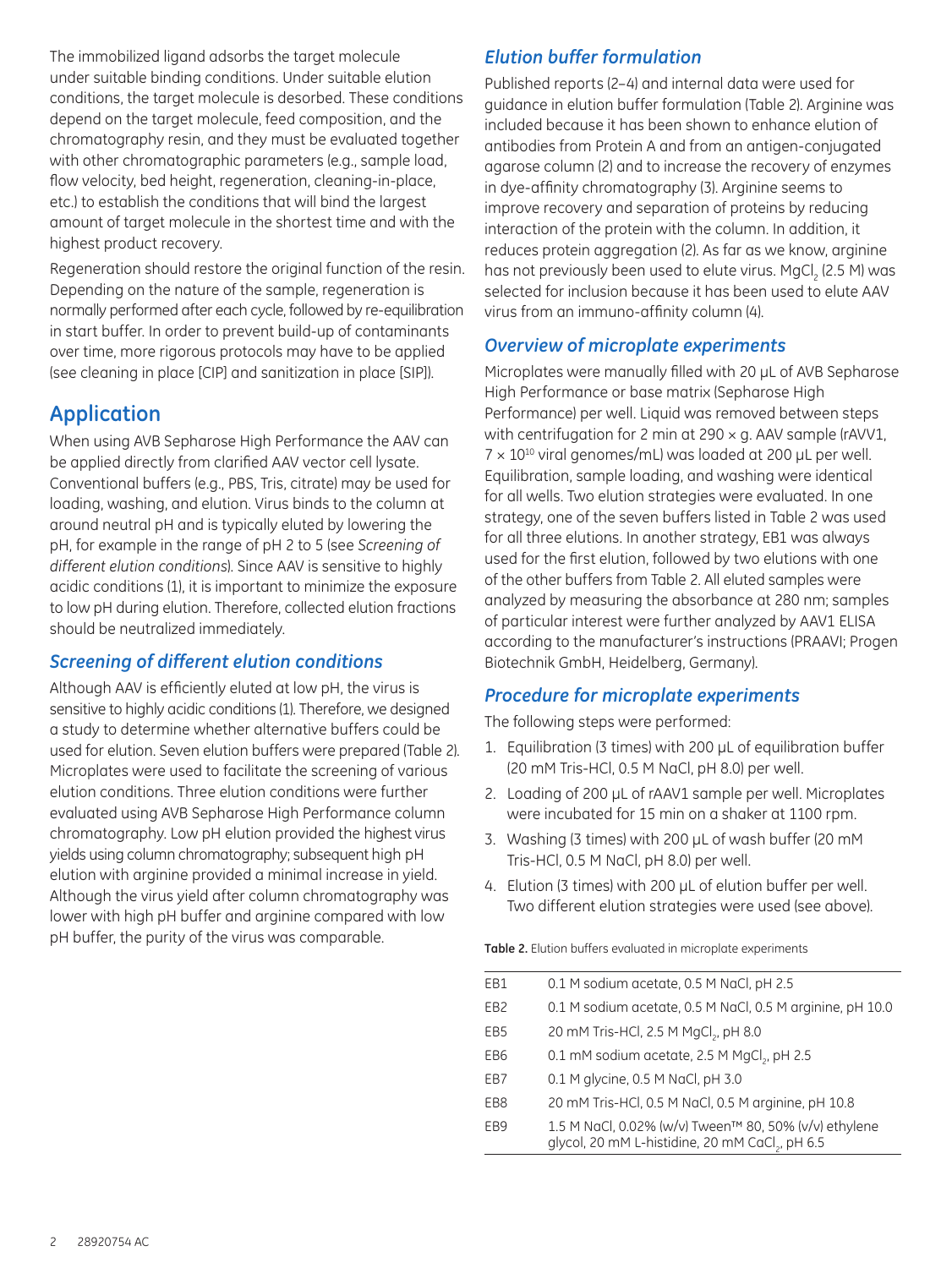The immobilized ligand adsorbs the target molecule under suitable binding conditions. Under suitable elution conditions, the target molecule is desorbed. These conditions depend on the target molecule, feed composition, and the chromatography resin, and they must be evaluated together with other chromatographic parameters (e.g., sample load, flow velocity, bed height, regeneration, cleaning-in-place, etc.) to establish the conditions that will bind the largest amount of target molecule in the shortest time and with the highest product recovery.

Regeneration should restore the original function of the resin. Depending on the nature of the sample, regeneration is normally performed after each cycle, followed by re-equilibration in start buffer. In order to prevent build-up of contaminants over time, more rigorous protocols may have to be applied (see cleaning in place [CIP] and sanitization in place [SIP]).

# **Application**

When using AVB Sepharose High Performance the AAV can be applied directly from clarified AAV vector cell lysate. Conventional buffers (e.g., PBS, Tris, citrate) may be used for loading, washing, and elution. Virus binds to the column at around neutral pH and is typically eluted by lowering the pH, for example in the range of pH 2 to 5 (see *Screening of different elution conditions*). Since AAV is sensitive to highly acidic conditions (1), it is important to minimize the exposure to low pH during elution. Therefore, collected elution fractions should be neutralized immediately.

#### *Screening of different elution conditions*

Although AAV is efficiently eluted at low pH, the virus is sensitive to highly acidic conditions (1). Therefore, we designed a study to determine whether alternative buffers could be used for elution. Seven elution buffers were prepared (Table 2). Microplates were used to facilitate the screening of various elution conditions. Three elution conditions were further evaluated using AVB Sepharose High Performance column chromatography. Low pH elution provided the highest virus yields using column chromatography; subsequent high pH elution with arginine provided a minimal increase in yield. Although the virus yield after column chromatography was lower with high pH buffer and arginine compared with low pH buffer, the purity of the virus was comparable.

### *Elution buffer formulation*

Published reports (2–4) and internal data were used for guidance in elution buffer formulation (Table 2). Arginine was included because it has been shown to enhance elution of antibodies from Protein A and from an antigen-conjugated agarose column (2) and to increase the recovery of enzymes in dye-affinity chromatography (3). Arginine seems to improve recovery and separation of proteins by reducing interaction of the protein with the column. In addition, it reduces protein aggregation (2). As far as we know, arginine has not previously been used to elute virus. MgCl $_{_{2}}$  (2.5 M) was selected for inclusion because it has been used to elute AAV virus from an immuno-affinity column (4).

#### *Overview of microplate experiments*

Microplates were manually filled with 20 µL of AVB Sepharose High Performance or base matrix (Sepharose High Performance) per well. Liquid was removed between steps with centrifugation for 2 min at  $290 \times g$ . AAV sample (rAVV1,  $7 \times 10^{10}$  viral genomes/mL) was loaded at 200 µL per well. Equilibration, sample loading, and washing were identical for all wells. Two elution strategies were evaluated. In one strategy, one of the seven buffers listed in Table 2 was used for all three elutions. In another strategy, EB1 was always used for the first elution, followed by two elutions with one of the other buffers from Table 2. All eluted samples were analyzed by measuring the absorbance at 280 nm; samples of particular interest were further analyzed by AAV1 ELISA according to the manufacturer's instructions (PRAAVI; Progen Biotechnik GmbH, Heidelberg, Germany).

### *Procedure for microplate experiments*

The following steps were performed:

- 1. Equilibration (3 times) with 200 µL of equilibration buffer (20 mM Tris-HCl, 0.5 M NaCl, pH 8.0) per well.
- 2. Loading of 200 µL of rAAV1 sample per well. Microplates were incubated for 15 min on a shaker at 1100 rpm.
- 3. Washing (3 times) with 200 µL of wash buffer (20 mM Tris-HCl, 0.5 M NaCl, pH 8.0) per well.
- 4. Elution (3 times) with 200 µL of elution buffer per well. Two different elution strategies were used (see above).

| Table 2. Elution buffers evaluated in microplate experiments |  |  |
|--------------------------------------------------------------|--|--|
|                                                              |  |  |

| EB1             | 0.1 M sodium acetate, 0.5 M NaCl, pH 2.5                                                                             |
|-----------------|----------------------------------------------------------------------------------------------------------------------|
| EB <sub>2</sub> | 0.1 M sodium acetate, 0.5 M NaCl, 0.5 M arginine, pH 10.0                                                            |
| EB <sub>5</sub> | 20 mM Tris-HCl, 2.5 M MgCl <sub>2</sub> , pH 8.0                                                                     |
| EB <sub>6</sub> | 0.1 mM sodium acetate, 2.5 M MgCl <sub>2</sub> , pH 2.5                                                              |
| EB7             | 0.1 M glycine, 0.5 M NaCl, pH 3.0                                                                                    |
| EB <sub>8</sub> | 20 mM Tris-HCl, 0.5 M NaCl, 0.5 M arginine, pH 10.8                                                                  |
| EB <sub>9</sub> | 1.5 M NaCl, 0.02% (w/v) Tween™ 80, 50% (v/v) ethylene<br>glycol, 20 mM L-histidine, 20 mM CaCl <sub>2</sub> , pH 6.5 |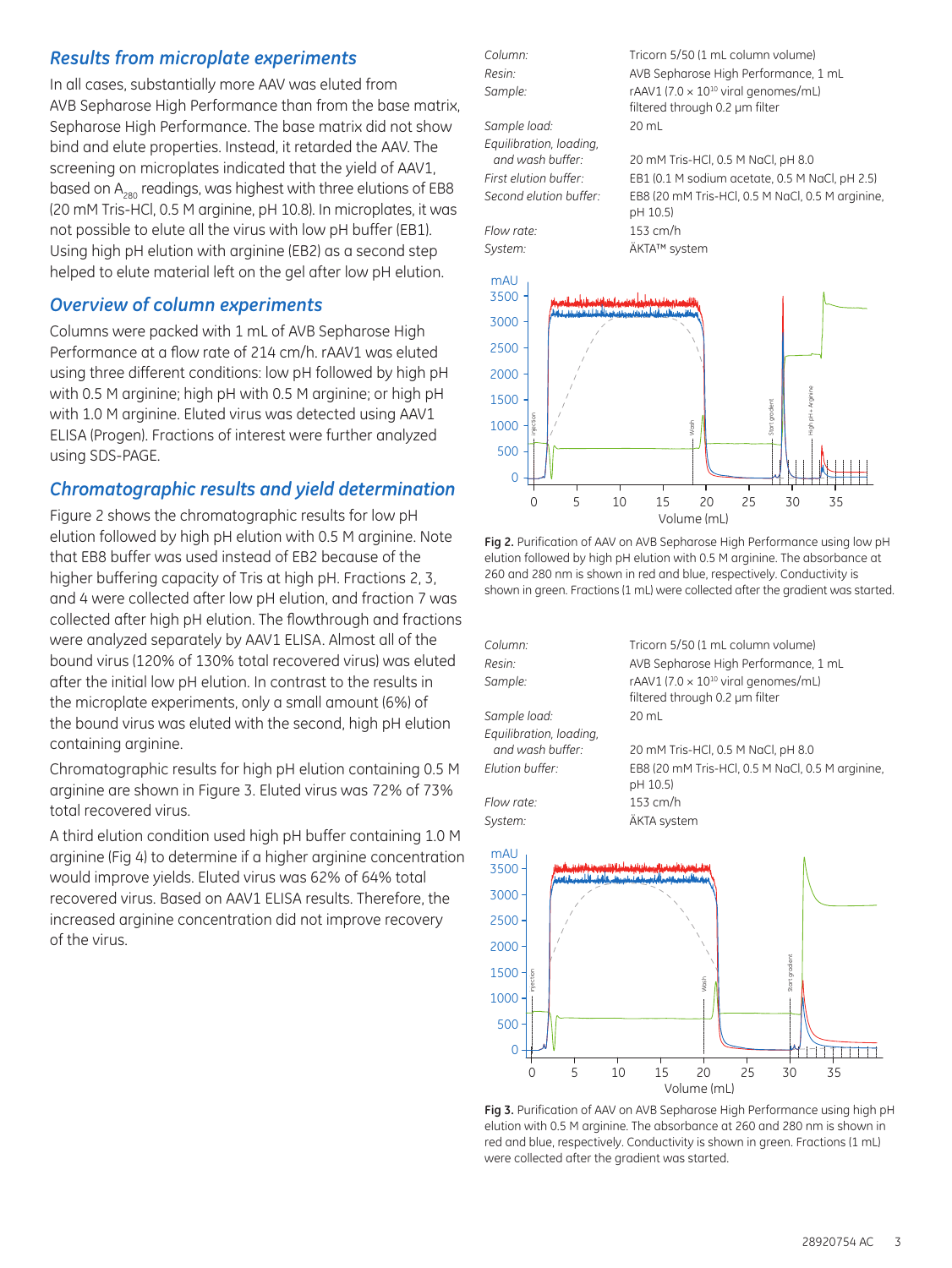#### *Results from microplate experiments*

In all cases, substantially more AAV was eluted from AVB Sepharose High Performance than from the base matrix, Sepharose High Performance. The base matrix did not show bind and elute properties. Instead, it retarded the AAV. The screening on microplates indicated that the yield of AAV1, based on A<sub>280</sub> readings, was highest with three elutions of EB8 (20 mM Tris-HCl, 0.5 M arginine, pH 10.8). In microplates, it was not possible to elute all the virus with low pH buffer (EB1). Using high pH elution with arginine (EB2) as a second step helped to elute material left on the gel after low pH elution.

#### *Overview of column experiments*

Columns were packed with 1 mL of AVB Sepharose High Performance at a flow rate of 214 cm/h. rAAV1 was eluted using three different conditions: low pH followed by high pH with 0.5 M arginine; high pH with 0.5 M arginine; or high pH with 1.0 M arginine. Eluted virus was detected using AAV1 ELISA (Progen). Fractions of interest were further analyzed using SDS-PAGE.

#### *Chromatographic results and yield determination*

Figure 2 shows the chromatographic results for low pH elution followed by high pH elution with 0.5 M arginine. Note that EB8 buffer was used instead of EB2 because of the higher buffering capacity of Tris at high pH. Fractions 2, 3, and 4 were collected after low pH elution, and fraction 7 was collected after high pH elution. The flowthrough and fractions were analyzed separately by AAV1 ELISA. Almost all of the bound virus (120% of 130% total recovered virus) was eluted after the initial low pH elution. In contrast to the results in the microplate experiments, only a small amount (6%) of the bound virus was eluted with the second, high pH elution containing arginine.

Chromatographic results for high pH elution containing 0.5 M arginine are shown in Figure 3. Eluted virus was 72% of 73% total recovered virus.

A third elution condition used high pH buffer containing 1.0 M arginine (Fig 4) to determine if a higher arginine concentration would improve yields. Eluted virus was 62% of 64% total recovered virus. Based on AAV1 ELISA results. Therefore, the increased arginine concentration did not improve recovery of the virus.

*Sample load:* 20 mL *Equilibration, loading,* 

*Flow rate:* 153 cm/h *System:* ÄKTA™ system

*Column:* Tricorn 5/50 (1 mL column volume) *Resin:* AVB Sepharose High Performance, 1 mL Sample: rAAV1 (7.0 × 10<sup>10</sup> viral genomes/mL) filtered through 0.2 µm filter

 *and wash buffer:* 20 mM Tris-HCl, 0.5 M NaCl, pH 8.0 *First elution buffer:* EB1 (0.1 M sodium acetate, 0.5 M NaCl, pH 2.5) *Second elution buffer:* EB8 (20 mM Tris-HCl, 0.5 M NaCl, 0.5 M arginine, pH 10.5)







**Fig 3.** Purification of AAV on AVB Sepharose High Performance using high pH elution with 0.5 M arginine. The absorbance at 260 and 280 nm is shown in red and blue, respectively. Conductivity is shown in green. Fractions (1 mL) were collected after the gradient was started.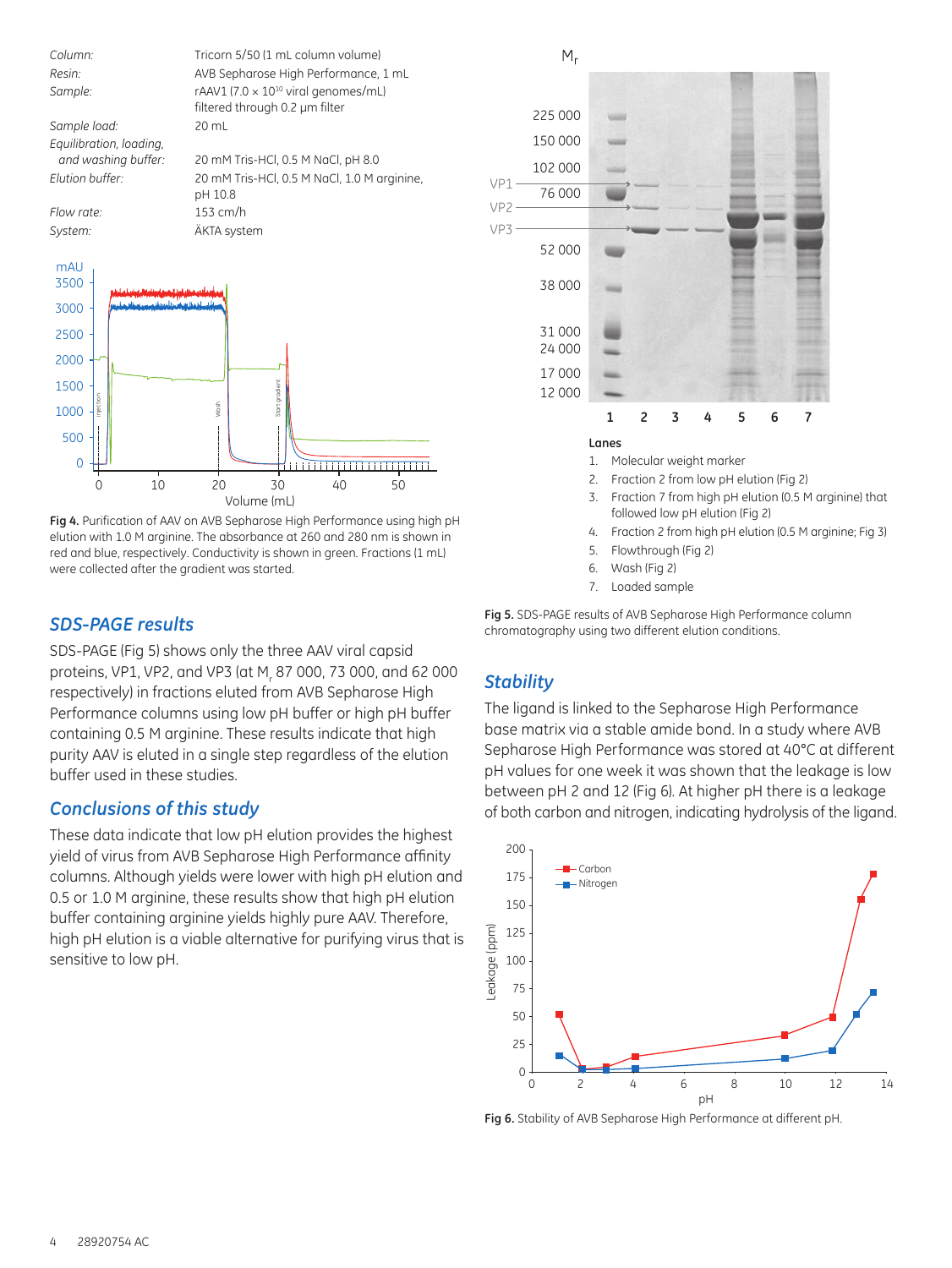

**Fig 4.** Purification of AAV on AVB Sepharose High Performance using high pH elution with 1.0 M arginine. The absorbance at 260 and 280 nm is shown in red and blue, respectively. Conductivity is shown in green. Fractions (1 mL) were collected after the gradient was started.

Volume (mL)

#### *SDS-PAGE results*

SDS-PAGE (Fig 5) shows only the three AAV viral capsid proteins, VP1, VP2, and VP3 (at M<sub>r</sub> 87 000, 73 000, and 62 000 respectively) in fractions eluted from AVB Sepharose High Performance columns using low pH buffer or high pH buffer containing 0.5 M arginine. These results indicate that high purity AAV is eluted in a single step regardless of the elution buffer used in these studies.

#### *Conclusions of this study*

These data indicate that low pH elution provides the highest yield of virus from AVB Sepharose High Performance affinity columns. Although yields were lower with high pH elution and 0.5 or 1.0 M arginine, these results show that high pH elution buffer containing arginine yields highly pure AAV. Therefore, high pH elution is a viable alternative for purifying virus that is sensitive to low pH.



**Lanes**

- 1. Molecular weight marker
- 2. Fraction 2 from low pH elution (Fig 2)
- 3. Fraction 7 from high pH elution (0.5 M arginine) that followed low pH elution (Fig 2)
- 4. Fraction 2 from high pH elution (0.5 M arginine; Fig 3)
- 5. Flowthrough (Fig 2)
- 6. Wash (Fig 2)
- 7. Loaded sample

**Fig 5.** SDS-PAGE results of AVB Sepharose High Performance column chromatography using two different elution conditions.

### *Stability*

The ligand is linked to the Sepharose High Performance base matrix via a stable amide bond. In a study where AVB Sepharose High Performance was stored at 40°C at different pH values for one week it was shown that the leakage is low between pH 2 and 12 (Fig 6). At higher pH there is a leakage of both carbon and nitrogen, indicating hydrolysis of the ligand.



**Fig 6.** Stability of AVB Sepharose High Performance at different pH.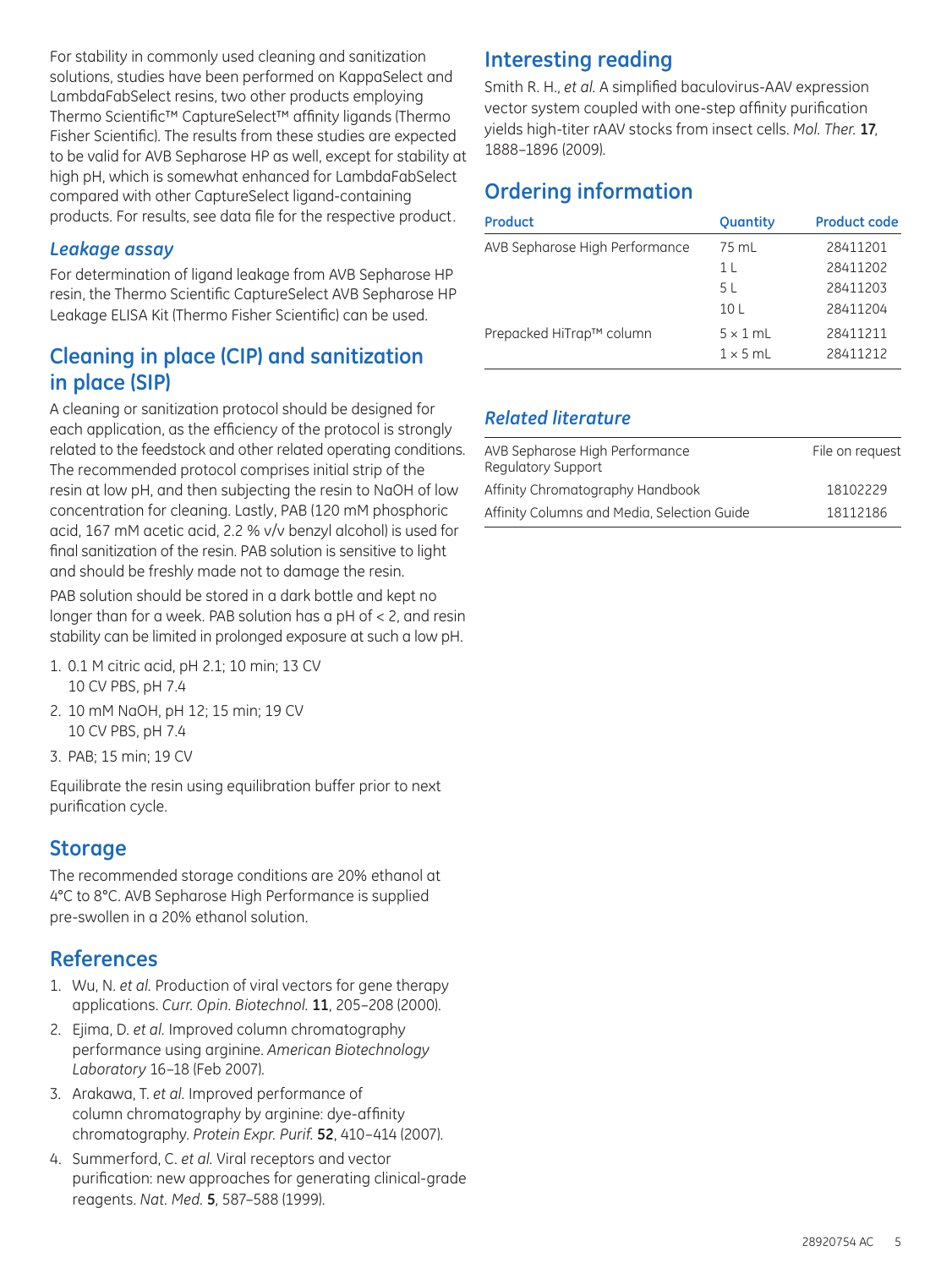For stability in commonly used cleaning and sanitization solutions, studies have been performed on KappaSelect and LambdaFabSelect resins, two other products employing Thermo Scientific™ CaptureSelect™ affinity ligands (Thermo Fisher Scientific). The results from these studies are expected to be valid for AVB Sepharose HP as well, except for stability at high pH, which is somewhat enhanced for LambdaFabSelect compared with other CaptureSelect ligand-containing products. For results, see data file for the respective product.

#### *Leakage assay*

For determination of ligand leakage from AVB Sepharose HP resin, the Thermo Scientific CaptureSelect AVB Sepharose HP Leakage ELISA Kit (Thermo Fisher Scientific) can be used.

# **Cleaning in place (CIP) and sanitization in place (SIP)**

A cleaning or sanitization protocol should be designed for each application, as the efficiency of the protocol is strongly related to the feedstock and other related operating conditions. The recommended protocol comprises initial strip of the resin at low pH, and then subjecting the resin to NaOH of low concentration for cleaning. Lastly, PAB (120 mM phosphoric acid, 167 mM acetic acid, 2.2 % v/v benzyl alcohol) is used for final sanitization of the resin. PAB solution is sensitive to light and should be freshly made not to damage the resin.

PAB solution should be stored in a dark bottle and kept no longer than for a week. PAB solution has a pH of < 2, and resin stability can be limited in prolonged exposure at such a low pH.

- 1. 0.1 M citric acid, pH 2.1; 10 min; 13 CV 10 CV PBS, pH 7.4
- 2. 10 mM NaOH, pH 12; 15 min; 19 CV 10 CV PBS, pH 7.4
- 3. PAB; 15 min; 19 CV

Equilibrate the resin using equilibration buffer prior to next purification cycle.

# **Storage**

The recommended storage conditions are 20% ethanol at 4°C to 8°C. AVB Sepharose High Performance is supplied pre-swollen in a 20% ethanol solution.

# **References**

- 1. Wu, N. *et al.* Production of viral vectors for gene therapy applications. *Curr. Opin. Biotechnol.* **11**, 205–208 (2000).
- 2. Ejima, D. *et al.* Improved column chromatography performance using arginine. *American Biotechnology Laboratory* 16–18 (Feb 2007).
- 3. Arakawa, T. *et al.* Improved performance of column chromatography by arginine: dye-affinity chromatography. *Protein Expr. Purif.* **52**, 410–414 (2007).
- 4. Summerford, C. *et al.* Viral receptors and vector purification: new approaches for generating clinical-grade reagents. *Nat. Med.* **5**, 587–588 (1999).

# **Interesting reading**

Smith R. H., *et al.* A simplified baculovirus-AAV expression vector system coupled with one-step affinity purification yields high-titer rAAV stocks from insect cells. *Mol. Ther.* **17**, 1888–1896 (2009).

# **Ordering information**

| Product                        | <b>Quantity</b> | <b>Product code</b> |
|--------------------------------|-----------------|---------------------|
| AVB Sepharose High Performance | 75 mL           | 28411201            |
|                                | 1 <sub>L</sub>  | 28411202            |
|                                | 5 L             | 28411203            |
|                                | 10 <sub>L</sub> | 28411204            |
| Prepacked HiTrap™ column       | $5 \times 1$ mL | 28411211            |
|                                | $1 \times 5$ mL | 28411212            |

#### *Related literature*

| AVB Sepharose High Performance<br>Regulatory Support | File on request |
|------------------------------------------------------|-----------------|
| Affinity Chromatography Handbook                     | 18102229        |
| Affinity Columns and Media, Selection Guide          | 18112186        |